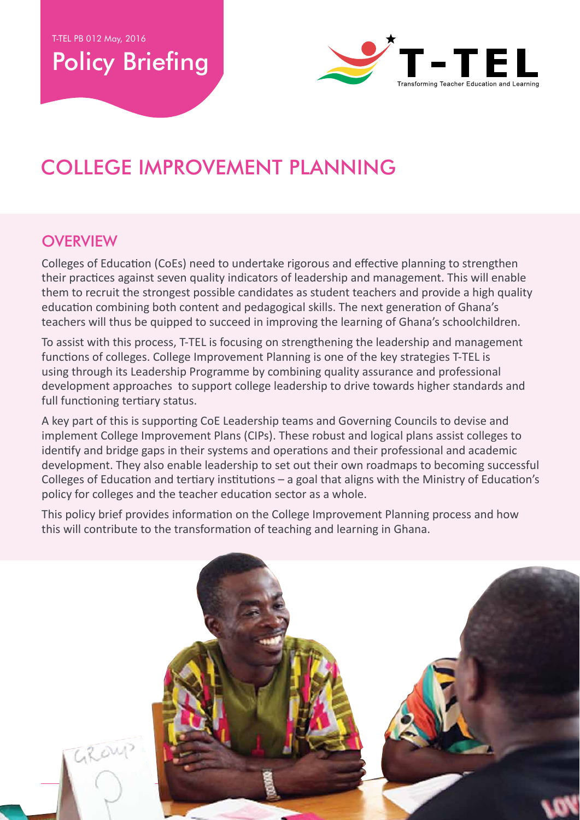Policy Briefing



# College Improvement Planning

## **OVERVIEW**

Colleges of Education (CoEs) need to undertake rigorous and effective planning to strengthen their practices against seven quality indicators of leadership and management. This will enable them to recruit the strongest possible candidates as student teachers and provide a high quality education combining both content and pedagogical skills. The next generation of Ghana's teachers will thus be quipped to succeed in improving the learning of Ghana's schoolchildren.

To assist with this process, T-TEL is focusing on strengthening the leadership and management functions of colleges. College Improvement Planning is one of the key strategies T-TEL is using through its Leadership Programme by combining quality assurance and professional development approaches to support college leadership to drive towards higher standards and full functioning tertiary status.

A key part of this is supporting CoE Leadership teams and Governing Councils to devise and implement College Improvement Plans (CIPs). These robust and logical plans assist colleges to identify and bridge gaps in their systems and operations and their professional and academic development. They also enable leadership to set out their own roadmaps to becoming successful Colleges of Education and tertiary institutions – a goal that aligns with the Ministry of Education's policy for colleges and the teacher education sector as a whole.

This policy brief provides information on the College Improvement Planning process and how this will contribute to the transformation of teaching and learning in Ghana.

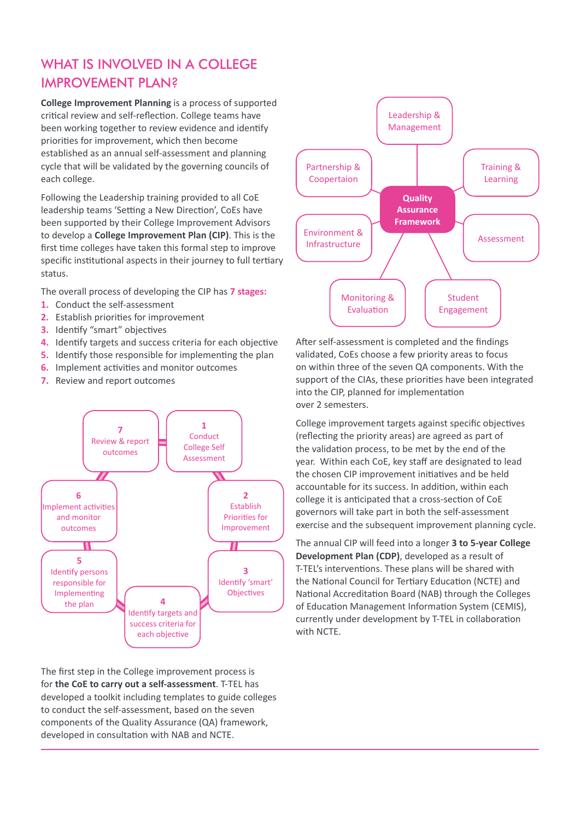## WHAT IS INVOLVED IN A COLLEGE Improvement Plan?

**College Improvement Planning** is a process of supported critical review and self-reflection. College teams have been working together to review evidence and identify priorities for improvement, which then become established as an annual self-assessment and planning cycle that will be validated by the governing councils of each college.

Following the Leadership training provided to all CoE leadership teams 'Setting a New Direction', CoEs have been supported by their College Improvement Advisors to develop a **College Improvement Plan (CIP)**. This is the first time colleges have taken this formal step to improve specific institutional aspects in their journey to full tertiary status.

The overall process of developing the CIP has **7 stages:**

- **1.** Conduct the self-assessment
- **2.** Establish priorities for improvement
- **3.** Identify "smart" objectives
- **4.** Identify targets and success criteria for each objective
- **5.** Identify those responsible for implementing the plan
- **6.** Implement activities and monitor outcomes
- **7.** Review and report outcomes



The first step in the College improvement process is for **the CoE to carry out a self-assessment**. T-TEL has developed a toolkit including templates to guide colleges to conduct the self-assessment, based on the seven components of the Quality Assurance (QA) framework, developed in consultation with NAB and NCTE.



After self-assessment is completed and the findings validated, CoEs choose a few priority areas to focus on within three of the seven QA components. With the support of the CIAs, these priorities have been integrated into the CIP, planned for implementation over 2 semesters.

College improvement targets against specific objectives (reflecting the priority areas) are agreed as part of the validation process, to be met by the end of the year. Within each CoE, key staff are designated to lead the chosen CIP improvement initiatives and be held accountable for its success. In addition, within each college it is anticipated that a cross-section of CoE governors will take part in both the self-assessment exercise and the subsequent improvement planning cycle.

The annual CIP will feed into a longer **3 to 5-year College Development Plan (CDP)**, developed as a result of T-TEL's interventions. These plans will be shared with the National Council for Tertiary Education (NCTE) and National Accreditation Board (NAB) through the Colleges of Education Management Information System (CEMIS), currently under development by T-TEL in collaboration with NCTE.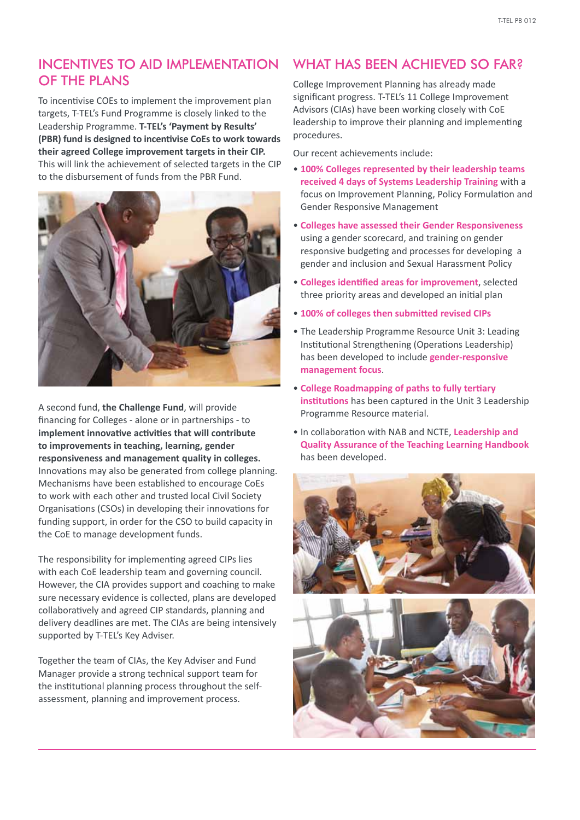#### IncentiveS to aid Implementation of the Plans

To incentivise COEs to implement the improvement plan targets, T-TEL's Fund Programme is closely linked to the Leadership Programme. **T-TEL's 'Payment by Results' (PBR) fund is designed to incentivise CoEs to work towards their agreed College improvement targets in their CIP.**  This will link the achievement of selected targets in the CIP to the disbursement of funds from the PBR Fund.



A second fund, **the Challenge Fund**, will provide financing for Colleges - alone or in partnerships - to **implement innovative activities that will contribute to improvements in teaching, learning, gender responsiveness and management quality in colleges.** Innovations may also be generated from college planning. Mechanisms have been established to encourage CoEs to work with each other and trusted local Civil Society Organisations (CSOs) in developing their innovations for funding support, in order for the CSO to build capacity in the CoE to manage development funds.

The responsibility for implementing agreed CIPs lies with each CoE leadership team and governing council. However, the CIA provides support and coaching to make sure necessary evidence is collected, plans are developed collaboratively and agreed CIP standards, planning and delivery deadlines are met. The CIAs are being intensively supported by T-TEL's Key Adviser.

Together the team of CIAs, the Key Adviser and Fund Manager provide a strong technical support team for the institutional planning process throughout the selfassessment, planning and improvement process.

## WHAT HAS BEEN ACHIEVED SO FAR?

College Improvement Planning has already made significant progress. T-TEL's 11 College Improvement Advisors (CIAs) have been working closely with CoE leadership to improve their planning and implementing procedures.

Our recent achievements include:

- **100% Colleges represented by their leadership teams received 4 days of Systems Leadership Training** with a focus on Improvement Planning, Policy Formulation and Gender Responsive Management
- **Colleges have assessed their Gender Responsiveness** using a gender scorecard, and training on gender responsive budgeting and processes for developing a gender and inclusion and Sexual Harassment Policy
- **Colleges identified areas for improvement**, selected three priority areas and developed an initial plan
- **100% of colleges then submitted revised CIPs**
- The Leadership Programme Resource Unit 3: Leading Institutional Strengthening (Operations Leadership) has been developed to include **gender-responsive management focus**.
- **College Roadmapping of paths to fully tertiary institutions** has been captured in the Unit 3 Leadership Programme Resource material.
- In collaboration with NAB and NCTE, **Leadership and Quality Assurance of the Teaching Learning Handbook** has been developed.